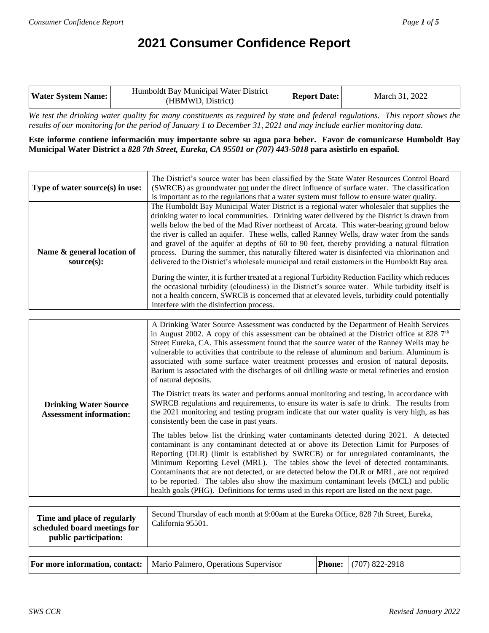# **2021 Consumer Confidence Report**

| Water System Name: | Humboldt Bay Municipal Water District<br>(HBMWD, District) | <b>Report Date:</b> | March 31, 2022 |
|--------------------|------------------------------------------------------------|---------------------|----------------|
|--------------------|------------------------------------------------------------|---------------------|----------------|

*We test the drinking water quality for many constituents as required by state and federal regulations. This report shows the results of our monitoring for the period of January 1 to December 31, 2021 and may include earlier monitoring data.*

**Este informe contiene información muy importante sobre su agua para beber. Favor de comunicarse Humboldt Bay Municipal Water District a** *828 7th Street, Eureka, CA 95501 or (707) 443-5018* **para asistirlo en español.**

| Type of water source(s) in use:          | The District's source water has been classified by the State Water Resources Control Board<br>(SWRCB) as groundwater not under the direct influence of surface water. The classification<br>is important as to the regulations that a water system must follow to ensure water quality.                                                                                                                                                                                                                                                                                                                                                                                                                                                                                                                                                                                                                                                                                                                                                       |
|------------------------------------------|-----------------------------------------------------------------------------------------------------------------------------------------------------------------------------------------------------------------------------------------------------------------------------------------------------------------------------------------------------------------------------------------------------------------------------------------------------------------------------------------------------------------------------------------------------------------------------------------------------------------------------------------------------------------------------------------------------------------------------------------------------------------------------------------------------------------------------------------------------------------------------------------------------------------------------------------------------------------------------------------------------------------------------------------------|
| Name & general location of<br>source(s): | The Humboldt Bay Municipal Water District is a regional water wholesaler that supplies the<br>drinking water to local communities. Drinking water delivered by the District is drawn from<br>wells below the bed of the Mad River northeast of Arcata. This water-bearing ground below<br>the river is called an aquifer. These wells, called Ranney Wells, draw water from the sands<br>and gravel of the aquifer at depths of 60 to 90 feet, thereby providing a natural filtration<br>process. During the summer, this naturally filtered water is disinfected via chlorination and<br>delivered to the District's wholesale municipal and retail customers in the Humboldt Bay area.<br>During the winter, it is further treated at a regional Turbidity Reduction Facility which reduces<br>the occasional turbidity (cloudiness) in the District's source water. While turbidity itself is<br>not a health concern, SWRCB is concerned that at elevated levels, turbidity could potentially<br>interfere with the disinfection process. |
|                                          |                                                                                                                                                                                                                                                                                                                                                                                                                                                                                                                                                                                                                                                                                                                                                                                                                                                                                                                                                                                                                                               |
|                                          | A Drinking Water Source Assessment was conducted by the Department of Health Services<br>in August 2002. A conv of this essessment can be obtained at the District office at $929.7$ th                                                                                                                                                                                                                                                                                                                                                                                                                                                                                                                                                                                                                                                                                                                                                                                                                                                       |

|                                                                | If Dimiting $\alpha$ and boarder holdsoment was conducted by the Department of Health Service<br>in August 2002. A copy of this assessment can be obtained at the District office at 828 $7th$<br>Street Eureka, CA. This assessment found that the source water of the Ranney Wells may be<br>vulnerable to activities that contribute to the release of aluminum and barium. Aluminum is<br>associated with some surface water treatment processes and erosion of natural deposits.<br>Barium is associated with the discharges of oil drilling waste or metal refineries and erosion<br>of natural deposits.                                     |
|----------------------------------------------------------------|-----------------------------------------------------------------------------------------------------------------------------------------------------------------------------------------------------------------------------------------------------------------------------------------------------------------------------------------------------------------------------------------------------------------------------------------------------------------------------------------------------------------------------------------------------------------------------------------------------------------------------------------------------|
| <b>Drinking Water Source</b><br><b>Assessment information:</b> | The District treats its water and performs annual monitoring and testing, in accordance with<br>SWRCB regulations and requirements, to ensure its water is safe to drink. The results from<br>the 2021 monitoring and testing program indicate that our water quality is very high, as has<br>consistently been the case in past years.                                                                                                                                                                                                                                                                                                             |
|                                                                | The tables below list the drinking water contaminants detected during 2021. A detected<br>contaminant is any contaminant detected at or above its Detection Limit for Purposes of<br>Reporting (DLR) (limit is established by SWRCB) or for unregulated contaminants, the<br>Minimum Reporting Level (MRL). The tables show the level of detected contaminants.<br>Contaminants that are not detected, or are detected below the DLR or MRL, are not required<br>to be reported. The tables also show the maximum contaminant levels (MCL) and public<br>health goals (PHG). Definitions for terms used in this report are listed on the next page. |

| Time and place of regularly<br>scheduled board meetings for<br>public participation: | Second Thursday of each month at 9:00am at the Eureka Office, 828 7th Street, Eureka,<br>California 95501. |
|--------------------------------------------------------------------------------------|------------------------------------------------------------------------------------------------------------|
|--------------------------------------------------------------------------------------|------------------------------------------------------------------------------------------------------------|

|  | <b>For more information, contact:</b>   Mario Palmero, Operations Supervisor |  | <b>Phone:</b> (707) 822-2918 |
|--|------------------------------------------------------------------------------|--|------------------------------|
|--|------------------------------------------------------------------------------|--|------------------------------|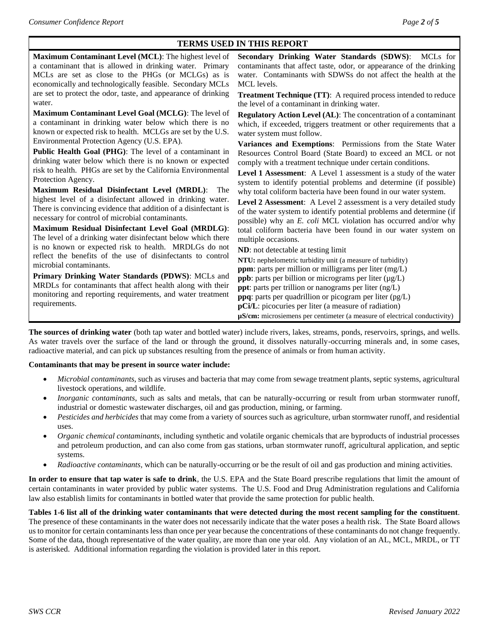### **TERMS USED IN THIS REPORT**

| Maximum Contaminant Level (MCL): The highest level of           | Secondary Drinking Water Standards (SDWS): MCLs for                            |
|-----------------------------------------------------------------|--------------------------------------------------------------------------------|
| a contaminant that is allowed in drinking water. Primary        | contaminants that affect taste, odor, or appearance of the drinking            |
| MCLs are set as close to the PHGs (or MCLGs) as is              | water. Contaminants with SDWSs do not affect the health at the                 |
| economically and technologically feasible. Secondary MCLs       | MCL levels.                                                                    |
| are set to protect the odor, taste, and appearance of drinking  | <b>Treatment Technique (TT):</b> A required process intended to reduce         |
| water.                                                          | the level of a contaminant in drinking water.                                  |
| Maximum Contaminant Level Goal (MCLG): The level of             | <b>Regulatory Action Level (AL):</b> The concentration of a contaminant        |
| a contaminant in drinking water below which there is no         | which, if exceeded, triggers treatment or other requirements that a            |
| known or expected risk to health. MCLGs are set by the U.S.     | water system must follow.                                                      |
| Environmental Protection Agency (U.S. EPA).                     | Variances and Exemptions: Permissions from the State Water                     |
| Public Health Goal (PHG): The level of a contaminant in         | Resources Control Board (State Board) to exceed an MCL or not                  |
| drinking water below which there is no known or expected        | comply with a treatment technique under certain conditions.                    |
| risk to health. PHGs are set by the California Environmental    | Level 1 Assessment: A Level 1 assessment is a study of the water               |
| Protection Agency.                                              | system to identify potential problems and determine (if possible)              |
| Maximum Residual Disinfectant Level (MRDL):<br>The              | why total coliform bacteria have been found in our water system.               |
| highest level of a disinfectant allowed in drinking water.      | Level 2 Assessment: A Level 2 assessment is a very detailed study              |
| There is convincing evidence that addition of a disinfectant is | of the water system to identify potential problems and determine (if           |
| necessary for control of microbial contaminants.                | possible) why an E. coli MCL violation has occurred and/or why                 |
| Maximum Residual Disinfectant Level Goal (MRDLG):               | total coliform bacteria have been found in our water system on                 |
| The level of a drinking water disinfectant below which there    | multiple occasions.                                                            |
| is no known or expected risk to health. MRDLGs do not           | ND: not detectable at testing limit                                            |
| reflect the benefits of the use of disinfectants to control     | NTU: nephelometric turbidity unit (a measure of turbidity)                     |
| microbial contaminants.                                         | <b>ppm</b> : parts per million or milligrams per liter $(mg/L)$                |
| Primary Drinking Water Standards (PDWS): MCLs and               | <b>ppb</b> : parts per billion or micrograms per liter $(\mu g/L)$             |
| MRDLs for contaminants that affect health along with their      | ppt: parts per trillion or nanograms per liter (ng/L)                          |
| monitoring and reporting requirements, and water treatment      | <b>ppq</b> : parts per quadrillion or picogram per liter $(pg/L)$              |
| requirements.                                                   | pCi/L: picocuries per liter (a measure of radiation)                           |
|                                                                 | $\mu$ S/cm: microsiemens per centimeter (a measure of electrical conductivity) |

**The sources of drinking water** (both tap water and bottled water) include rivers, lakes, streams, ponds, reservoirs, springs, and wells. As water travels over the surface of the land or through the ground, it dissolves naturally-occurring minerals and, in some cases, radioactive material, and can pick up substances resulting from the presence of animals or from human activity.

#### **Contaminants that may be present in source water include:**

- *Microbial contaminants*, such as viruses and bacteria that may come from sewage treatment plants, septic systems, agricultural livestock operations, and wildlife.
- *Inorganic contaminants*, such as salts and metals, that can be naturally-occurring or result from urban stormwater runoff, industrial or domestic wastewater discharges, oil and gas production, mining, or farming.
- *Pesticides and herbicides* that may come from a variety of sources such as agriculture, urban stormwater runoff, and residential uses.
- *Organic chemical contaminants*, including synthetic and volatile organic chemicals that are byproducts of industrial processes and petroleum production, and can also come from gas stations, urban stormwater runoff, agricultural application, and septic systems.
- *Radioactive contaminants,* which can be naturally-occurring or be the result of oil and gas production and mining activities.

**In order to ensure that tap water is safe to drink**, the U.S. EPA and the State Board prescribe regulations that limit the amount of certain contaminants in water provided by public water systems. The U.S. Food and Drug Administration regulations and California law also establish limits for contaminants in bottled water that provide the same protection for public health.

**Tables 1-6 list all of the drinking water contaminants that were detected during the most recent sampling for the constituent**. The presence of these contaminants in the water does not necessarily indicate that the water poses a health risk. The State Board allows us to monitor for certain contaminants less than once per year because the concentrations of these contaminants do not change frequently. Some of the data, though representative of the water quality, are more than one year old. Any violation of an AL, MCL, MRDL, or TT is asterisked. Additional information regarding the violation is provided later in this report.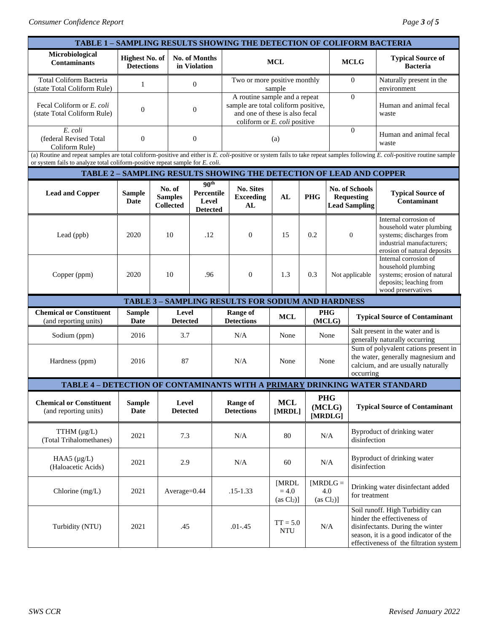| TABLE 1 - SAMPLING RESULTS SHOWING THE DETECTION OF COLIFORM BACTERIA                                                                                                                                                                                       |                                            |                                                    |                                                            |                               |                                                                                                                                        |                                 |             |                                                             |                                             |                                                                                                                                                                                       |  |
|-------------------------------------------------------------------------------------------------------------------------------------------------------------------------------------------------------------------------------------------------------------|--------------------------------------------|----------------------------------------------------|------------------------------------------------------------|-------------------------------|----------------------------------------------------------------------------------------------------------------------------------------|---------------------------------|-------------|-------------------------------------------------------------|---------------------------------------------|---------------------------------------------------------------------------------------------------------------------------------------------------------------------------------------|--|
| Microbiological<br><b>Contaminants</b>                                                                                                                                                                                                                      | <b>Highest No. of</b><br><b>Detections</b> |                                                    | No. of Months<br>in Violation                              | <b>MCL</b>                    |                                                                                                                                        |                                 | <b>MCLG</b> | <b>Typical Source of</b><br><b>Bacteria</b>                 |                                             |                                                                                                                                                                                       |  |
| <b>Total Coliform Bacteria</b><br>(state Total Coliform Rule)                                                                                                                                                                                               | 1                                          |                                                    | $\mathbf{0}$                                               |                               | Two or more positive monthly<br>sample                                                                                                 |                                 |             |                                                             | $\Omega$                                    | Naturally present in the<br>environment                                                                                                                                               |  |
| Fecal Coliform or E. coli<br>(state Total Coliform Rule)                                                                                                                                                                                                    | $\boldsymbol{0}$                           |                                                    | $\boldsymbol{0}$                                           |                               | A routine sample and a repeat<br>sample are total coliform positive,<br>and one of these is also fecal<br>coliform or E. coli positive |                                 |             |                                                             | $\theta$                                    | Human and animal fecal<br>waste                                                                                                                                                       |  |
| E. coli<br>(federal Revised Total<br>Coliform Rule)                                                                                                                                                                                                         | $\boldsymbol{0}$                           | $\boldsymbol{0}$                                   |                                                            | (a)                           |                                                                                                                                        |                                 |             | $\theta$                                                    | Human and animal fecal<br>waste             |                                                                                                                                                                                       |  |
| (a) Routine and repeat samples are total coliform-positive and either is E. coli-positive or system fails to take repeat samples following E. coli-positive routine sample<br>or system fails to analyze total coliform-positive repeat sample for E. coli. |                                            |                                                    |                                                            |                               |                                                                                                                                        |                                 |             |                                                             |                                             |                                                                                                                                                                                       |  |
| <b>TABLE 2 - SAMPLING RESULTS SHOWING THE DETECTION OF LEAD AND COPPER</b>                                                                                                                                                                                  |                                            |                                                    |                                                            |                               |                                                                                                                                        |                                 |             |                                                             |                                             |                                                                                                                                                                                       |  |
| <b>Lead and Copper</b>                                                                                                                                                                                                                                      | <b>Sample</b><br><b>Date</b>               | No. of<br><b>Samples</b><br><b>Collected</b>       | 90 <sup>th</sup><br>Percentile<br>Level<br><b>Detected</b> |                               | <b>No. Sites</b><br><b>Exceeding</b><br>AL                                                                                             | AL                              | <b>PHG</b>  | No. of Schools<br><b>Requesting</b><br><b>Lead Sampling</b> |                                             | <b>Typical Source of</b><br>Contaminant                                                                                                                                               |  |
| Lead (ppb)                                                                                                                                                                                                                                                  | 2020                                       | 10                                                 | .12                                                        |                               | $\mathbf{0}$                                                                                                                           | 15                              | 0.2         |                                                             | $\boldsymbol{0}$                            | Internal corrosion of<br>household water plumbing<br>systems; discharges from<br>industrial manufacturers:<br>erosion of natural deposits                                             |  |
| Copper (ppm)                                                                                                                                                                                                                                                | 2020                                       | 10                                                 | .96                                                        |                               | $\mathbf{0}$                                                                                                                           | 1.3                             | 0.3         |                                                             | Not applicable                              | Internal corrosion of<br>household plumbing<br>systems; erosion of natural<br>deposits; leaching from<br>wood preservatives                                                           |  |
|                                                                                                                                                                                                                                                             |                                            | TABLE 3 - SAMPLING RESULTS FOR SODIUM AND HARDNESS |                                                            |                               |                                                                                                                                        |                                 |             |                                                             |                                             |                                                                                                                                                                                       |  |
| <b>Chemical or Constituent</b><br>(and reporting units)                                                                                                                                                                                                     | <b>Sample</b><br>Date                      | Level<br><b>Detected</b>                           |                                                            | Range of<br><b>Detections</b> |                                                                                                                                        | <b>MCL</b>                      |             | <b>PHG</b><br>(MCLG)                                        |                                             | <b>Typical Source of Contaminant</b>                                                                                                                                                  |  |
| Sodium (ppm)                                                                                                                                                                                                                                                | 2016                                       | 3.7                                                |                                                            | N/A                           |                                                                                                                                        | None                            |             | None                                                        |                                             | Salt present in the water and is<br>generally naturally occurring                                                                                                                     |  |
| Hardness (ppm)                                                                                                                                                                                                                                              | 2016                                       | 87                                                 |                                                            | N/A                           |                                                                                                                                        | None                            |             | None<br>occurring                                           |                                             | Sum of polyvalent cations present in<br>the water, generally magnesium and<br>calcium, and are usually naturally                                                                      |  |
| TABLE 4 - DETECTION OF CONTAMINANTS WITH A PRIMARY DRINKING WATER STANDARD                                                                                                                                                                                  |                                            |                                                    |                                                            |                               |                                                                                                                                        |                                 |             |                                                             |                                             |                                                                                                                                                                                       |  |
| <b>Chemical or Constituent</b><br>(and reporting units)                                                                                                                                                                                                     | <b>Sample</b><br>Date                      | Level<br><b>Detected</b>                           |                                                            | Range of<br><b>Detections</b> |                                                                                                                                        | <b>MCL</b><br>[MRDL]            |             | <b>PHG</b><br>(MCLG)<br>[MRDLG]                             | <b>Typical Source of Contaminant</b>        |                                                                                                                                                                                       |  |
| TTHM $(\mu g/L)$<br>(Total Trihalomethanes)                                                                                                                                                                                                                 | 2021                                       | 7.3                                                |                                                            | N/A                           |                                                                                                                                        | 80                              |             | N/A                                                         | Byproduct of drinking water<br>disinfection |                                                                                                                                                                                       |  |
| HAA5 $(\mu g/L)$<br>(Haloacetic Acids)                                                                                                                                                                                                                      | 2021                                       | 2.9                                                |                                                            | N/A                           |                                                                                                                                        | 60                              |             | N/A                                                         |                                             | Byproduct of drinking water<br>disinfection                                                                                                                                           |  |
| Chlorine $(mg/L)$                                                                                                                                                                                                                                           | 2021                                       |                                                    | Average=0.44                                               |                               | $.15 - 1.33$                                                                                                                           | [MRDL<br>$= 4.0$<br>$(as Cl2)]$ |             | $[MRDLG =$<br>4.0<br>$(as Cl2)]$                            | for treatment                               | Drinking water disinfectant added                                                                                                                                                     |  |
| Turbidity (NTU)                                                                                                                                                                                                                                             | 2021                                       | .45                                                |                                                            | $.01 - .45$                   |                                                                                                                                        | $TT = 5.0$<br><b>NTU</b>        |             | $\rm N/A$                                                   |                                             | Soil runoff. High Turbidity can<br>hinder the effectiveness of<br>disinfectants. During the winter<br>season, it is a good indicator of the<br>effectiveness of the filtration system |  |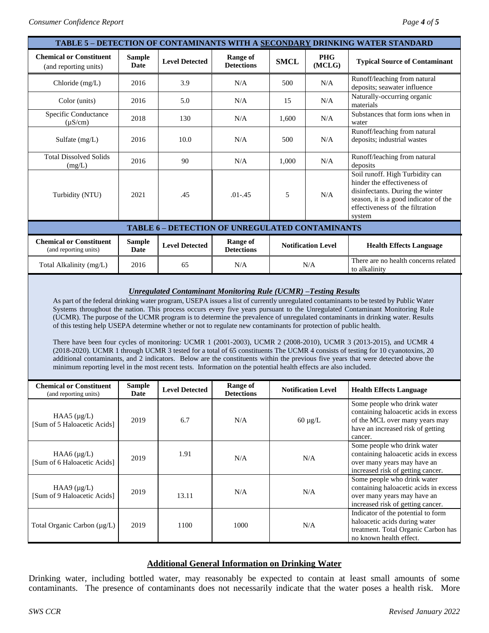| TABLE 5 - DETECTION OF CONTAMINANTS WITH A SECONDARY DRINKING WATER STANDARD                                                                                                                                                                                                                                                                                                                                                                                                                                                                                                                                                                                                                                                                                                                                                                                                                                                                                                                                                                                                                                         |                              |                                |                                                 |                                                                                                                                                                                          |                                                                                                                                          |                                                                                                                                                        |  |
|----------------------------------------------------------------------------------------------------------------------------------------------------------------------------------------------------------------------------------------------------------------------------------------------------------------------------------------------------------------------------------------------------------------------------------------------------------------------------------------------------------------------------------------------------------------------------------------------------------------------------------------------------------------------------------------------------------------------------------------------------------------------------------------------------------------------------------------------------------------------------------------------------------------------------------------------------------------------------------------------------------------------------------------------------------------------------------------------------------------------|------------------------------|--------------------------------|-------------------------------------------------|------------------------------------------------------------------------------------------------------------------------------------------------------------------------------------------|------------------------------------------------------------------------------------------------------------------------------------------|--------------------------------------------------------------------------------------------------------------------------------------------------------|--|
| <b>Chemical or Constituent</b><br>(and reporting units)                                                                                                                                                                                                                                                                                                                                                                                                                                                                                                                                                                                                                                                                                                                                                                                                                                                                                                                                                                                                                                                              | <b>Sample</b><br><b>Date</b> | <b>Level Detected</b>          | <b>Range of</b><br><b>Detections</b>            | <b>PHG</b><br><b>SMCL</b><br>(MCLG)                                                                                                                                                      |                                                                                                                                          | <b>Typical Source of Contaminant</b>                                                                                                                   |  |
| Chloride (mg/L)                                                                                                                                                                                                                                                                                                                                                                                                                                                                                                                                                                                                                                                                                                                                                                                                                                                                                                                                                                                                                                                                                                      | 2016                         | 3.9                            | N/A<br>500<br>N/A                               |                                                                                                                                                                                          | Runoff/leaching from natural<br>deposits; seawater influence                                                                             |                                                                                                                                                        |  |
| Color (units)                                                                                                                                                                                                                                                                                                                                                                                                                                                                                                                                                                                                                                                                                                                                                                                                                                                                                                                                                                                                                                                                                                        | 2016                         | 5.0                            | N/A<br>N/A<br>15                                |                                                                                                                                                                                          | Naturally-occurring organic<br>materials                                                                                                 |                                                                                                                                                        |  |
| Specific Conductance<br>$(\mu S/cm)$                                                                                                                                                                                                                                                                                                                                                                                                                                                                                                                                                                                                                                                                                                                                                                                                                                                                                                                                                                                                                                                                                 | 2018                         | 130                            | N/A                                             | 1,600                                                                                                                                                                                    | N/A                                                                                                                                      | Substances that form ions when in<br>water                                                                                                             |  |
| Sulfate $(mg/L)$                                                                                                                                                                                                                                                                                                                                                                                                                                                                                                                                                                                                                                                                                                                                                                                                                                                                                                                                                                                                                                                                                                     | 2016                         | 10.0                           | N/A<br>500<br>N/A                               |                                                                                                                                                                                          | Runoff/leaching from natural<br>deposits; industrial wastes                                                                              |                                                                                                                                                        |  |
| <b>Total Dissolved Solids</b><br>(mg/L)                                                                                                                                                                                                                                                                                                                                                                                                                                                                                                                                                                                                                                                                                                                                                                                                                                                                                                                                                                                                                                                                              | 2016                         | 90                             | N/A                                             | 1,000                                                                                                                                                                                    | N/A                                                                                                                                      | Runoff/leaching from natural<br>deposits                                                                                                               |  |
| Turbidity (NTU)                                                                                                                                                                                                                                                                                                                                                                                                                                                                                                                                                                                                                                                                                                                                                                                                                                                                                                                                                                                                                                                                                                      | 2021                         | 5<br>N/A<br>.45<br>$.01 - .45$ |                                                 | Soil runoff. High Turbidity can<br>hinder the effectiveness of<br>disinfectants. During the winter<br>season, it is a good indicator of the<br>effectiveness of the filtration<br>system |                                                                                                                                          |                                                                                                                                                        |  |
|                                                                                                                                                                                                                                                                                                                                                                                                                                                                                                                                                                                                                                                                                                                                                                                                                                                                                                                                                                                                                                                                                                                      |                              |                                | TABLE 6 - DETECTION OF UNREGULATED CONTAMINANTS |                                                                                                                                                                                          |                                                                                                                                          |                                                                                                                                                        |  |
| <b>Chemical or Constituent</b><br>(and reporting units)                                                                                                                                                                                                                                                                                                                                                                                                                                                                                                                                                                                                                                                                                                                                                                                                                                                                                                                                                                                                                                                              | <b>Sample</b><br><b>Date</b> | <b>Level Detected</b>          | <b>Range of</b><br><b>Detections</b>            |                                                                                                                                                                                          | <b>Notification Level</b>                                                                                                                | <b>Health Effects Language</b>                                                                                                                         |  |
| Total Alkalinity (mg/L)                                                                                                                                                                                                                                                                                                                                                                                                                                                                                                                                                                                                                                                                                                                                                                                                                                                                                                                                                                                                                                                                                              | 2016                         | 65                             | N/A                                             |                                                                                                                                                                                          | N/A                                                                                                                                      | There are no health concerns related<br>to alkalinity                                                                                                  |  |
| <b>Unregulated Contaminant Monitoring Rule (UCMR) -Testing Results</b><br>As part of the federal drinking water program, USEPA issues a list of currently unregulated contaminants to be tested by Public Water<br>Systems throughout the nation. This process occurs every five years pursuant to the Unregulated Contaminant Monitoring Rule<br>(UCMR). The purpose of the UCMR program is to determine the prevalence of unregulated contaminants in drinking water. Results<br>of this testing help USEPA determine whether or not to regulate new contaminants for protection of public health.<br>There have been four cycles of monitoring: UCMR 1 (2001-2003), UCMR 2 (2008-2010), UCMR 3 (2013-2015), and UCMR 4<br>(2018-2020). UCMR 1 through UCMR 3 tested for a total of 65 constituents The UCMR 4 consists of testing for 10 cyanotoxins, 20<br>additional contaminants, and 2 indicators. Below are the constituents within the previous five years that were detected above the<br>minimum reporting level in the most recent tests. Information on the potential health effects are also included. |                              |                                |                                                 |                                                                                                                                                                                          |                                                                                                                                          |                                                                                                                                                        |  |
| <b>Chemical or Constituent</b><br>(and reporting units)                                                                                                                                                                                                                                                                                                                                                                                                                                                                                                                                                                                                                                                                                                                                                                                                                                                                                                                                                                                                                                                              | <b>Sample</b><br>Date        | <b>Level Detected</b>          | <b>Range of</b><br><b>Detections</b>            |                                                                                                                                                                                          | <b>Notification Level</b>                                                                                                                | <b>Health Effects Language</b>                                                                                                                         |  |
| HAA5 $(\mu g/L)$<br>[Sum of 5 Haloacetic Acids]                                                                                                                                                                                                                                                                                                                                                                                                                                                                                                                                                                                                                                                                                                                                                                                                                                                                                                                                                                                                                                                                      | 2019                         | 6.7                            | N/A                                             | $60 \mu g/L$                                                                                                                                                                             |                                                                                                                                          | Some people who drink water<br>containing haloacetic acids in excess<br>of the MCL over many years may<br>have an increased risk of getting<br>cancer. |  |
| HAA $6$ ( $\mu$ g/L)<br>[Sum of 6 Haloacetic Acids]                                                                                                                                                                                                                                                                                                                                                                                                                                                                                                                                                                                                                                                                                                                                                                                                                                                                                                                                                                                                                                                                  | 2019                         | 1.91                           | $\rm N/A$<br>N/A                                |                                                                                                                                                                                          | Some people who drink water<br>containing haloacetic acids in excess<br>over many years may have an<br>increased risk of getting cancer. |                                                                                                                                                        |  |
| HAA9 $(\mu g/L)$<br>[Sum of 9 Haloacetic Acids]                                                                                                                                                                                                                                                                                                                                                                                                                                                                                                                                                                                                                                                                                                                                                                                                                                                                                                                                                                                                                                                                      | 2019                         | 13.11                          | N/A<br>N/A                                      |                                                                                                                                                                                          | Some people who drink water<br>containing haloacetic acids in excess<br>over many years may have an<br>increased risk of getting cancer. |                                                                                                                                                        |  |
| Total Organic Carbon (µg/L)                                                                                                                                                                                                                                                                                                                                                                                                                                                                                                                                                                                                                                                                                                                                                                                                                                                                                                                                                                                                                                                                                          | 2019                         | 1100                           | $\rm N/A$<br>1000                               |                                                                                                                                                                                          | Indicator of the potential to form<br>haloacetic acids during water<br>treatment. Total Organic Carbon has<br>no known health effect.    |                                                                                                                                                        |  |

## **Additional General Information on Drinking Water**

Drinking water, including bottled water, may reasonably be expected to contain at least small amounts of some contaminants. The presence of contaminants does not necessarily indicate that the water poses a health risk. More